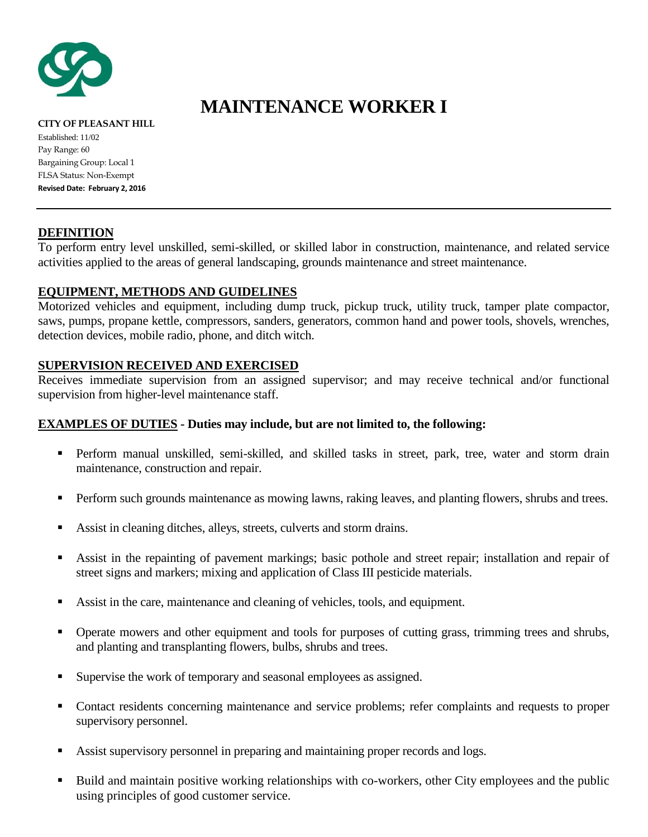

# **MAINTENANCE WORKER I**

**CITY OF PLEASANT HILL** Established: 11/02 Pay Range: 60 Bargaining Group: Local 1 FLSA Status: Non-Exempt **Revised Date: February 2, 2016**

## **DEFINITION**

To perform entry level unskilled, semi-skilled, or skilled labor in construction, maintenance, and related service activities applied to the areas of general landscaping, grounds maintenance and street maintenance.

# **EQUIPMENT, METHODS AND GUIDELINES**

Motorized vehicles and equipment, including dump truck, pickup truck, utility truck, tamper plate compactor, saws, pumps, propane kettle, compressors, sanders, generators, common hand and power tools, shovels, wrenches, detection devices, mobile radio, phone, and ditch witch.

## **SUPERVISION RECEIVED AND EXERCISED**

Receives immediate supervision from an assigned supervisor; and may receive technical and/or functional supervision from higher-level maintenance staff.

## **EXAMPLES OF DUTIES - Duties may include, but are not limited to, the following:**

- Perform manual unskilled, semi-skilled, and skilled tasks in street, park, tree, water and storm drain maintenance, construction and repair.
- **Perform such grounds maintenance as mowing lawns, raking leaves, and planting flowers, shrubs and trees.**
- Assist in cleaning ditches, alleys, streets, culverts and storm drains.
- Assist in the repainting of pavement markings; basic pothole and street repair; installation and repair of street signs and markers; mixing and application of Class III pesticide materials.
- Assist in the care, maintenance and cleaning of vehicles, tools, and equipment.
- Operate mowers and other equipment and tools for purposes of cutting grass, trimming trees and shrubs, and planting and transplanting flowers, bulbs, shrubs and trees.
- Supervise the work of temporary and seasonal employees as assigned.
- Contact residents concerning maintenance and service problems; refer complaints and requests to proper supervisory personnel.
- Assist supervisory personnel in preparing and maintaining proper records and logs.
- Build and maintain positive working relationships with co-workers, other City employees and the public using principles of good customer service.